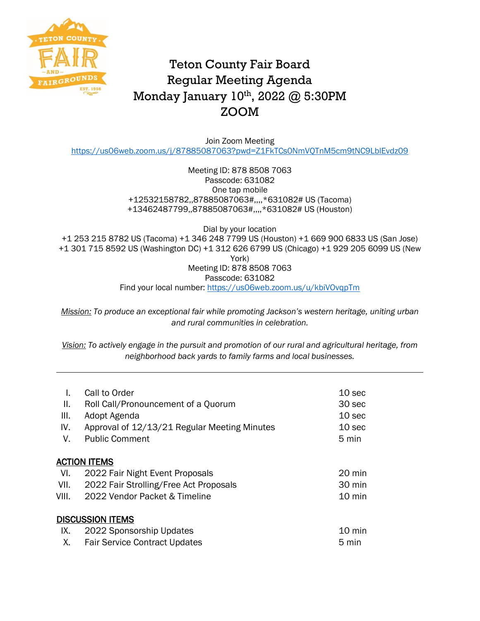

## Teton County Fair Board Regular Meeting Agenda Monday January 10<sup>th</sup>, 2022 @ 5:30PM ZOOM

Join Zoom Meeting <https://us06web.zoom.us/j/87885087063?pwd=Z1FkTCs0NmVQTnM5cm9tNC9LblEvdz09>

> Meeting ID: 878 8508 7063 Passcode: 631082 One tap mobile +12532158782,,87885087063#,,,,\*631082# US (Tacoma) +13462487799,,87885087063#,,,,\*631082# US (Houston)

Dial by your location +1 253 215 8782 US (Tacoma) +1 346 248 7799 US (Houston) +1 669 900 6833 US (San Jose) +1 301 715 8592 US (Washington DC) +1 312 626 6799 US (Chicago) +1 929 205 6099 US (New York) Meeting ID: 878 8508 7063 Passcode: 631082 Find your local number:<https://us06web.zoom.us/u/kbiVOvqpTm>

*Mission: To produce an exceptional fair while promoting Jackson's western heritage, uniting urban and rural communities in celebration.*

*Vision: To actively engage in the pursuit and promotion of our rural and agricultural heritage, from neighborhood back yards to family farms and local businesses.*

| L.<br>Ш.<br>III.<br>IV.<br>V. | Call to Order<br>Roll Call/Pronouncement of a Quorum<br>Adopt Agenda<br>Approval of 12/13/21 Regular Meeting Minutes<br><b>Public Comment</b> | 10 sec<br>30 sec<br>10 <sub>sec</sub><br>10 <sub>sec</sub><br>5 min |  |  |  |
|-------------------------------|-----------------------------------------------------------------------------------------------------------------------------------------------|---------------------------------------------------------------------|--|--|--|
| <b>ACTION ITEMS</b>           |                                                                                                                                               |                                                                     |  |  |  |
| VI.                           | 2022 Fair Night Event Proposals                                                                                                               | 20 min                                                              |  |  |  |
| VII.                          | 2022 Fair Strolling/Free Act Proposals                                                                                                        | 30 min                                                              |  |  |  |
| VIII.                         | 2022 Vendor Packet & Timeline                                                                                                                 | $10 \text{ min}$                                                    |  |  |  |
| <b>DISCUSSION ITEMS</b>       |                                                                                                                                               |                                                                     |  |  |  |
| IX.                           | 2022 Sponsorship Updates                                                                                                                      | 10 min                                                              |  |  |  |
| Χ.                            | <b>Fair Service Contract Updates</b>                                                                                                          | 5 min                                                               |  |  |  |